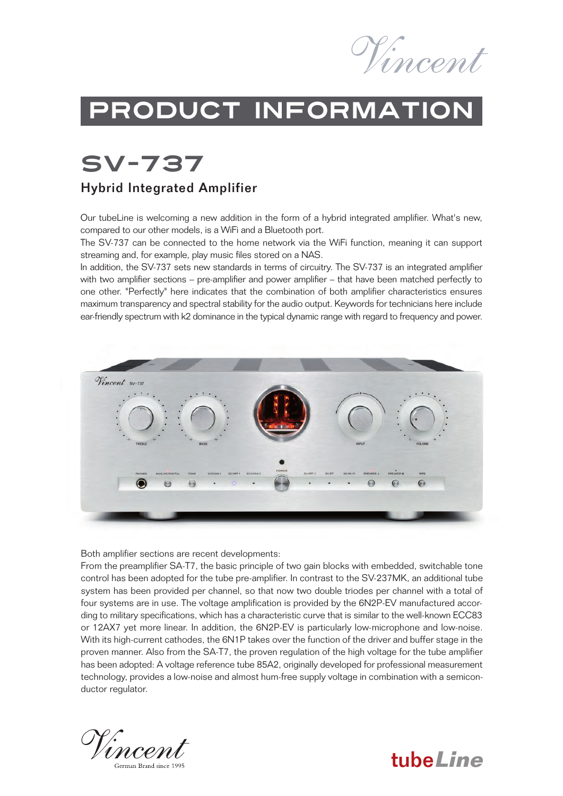

tube**Line**

## Product information

SV-737

#### Hybrid Integrated Amplifier

Our tubeLine is welcoming a new addition in the form of a hybrid integrated amplifier. What's new, compared to our other models, is a WiFi and a Bluetooth port.

The SV-737 can be connected to the home network via the WiFi function, meaning it can support streaming and, for example, play music files stored on a NAS.

In addition, the SV-737 sets new standards in terms of circuitry. The SV-737 is an integrated amplifier with two amplifier sections – pre-amplifier and power amplifier – that have been matched perfectly to one other. "Perfectly" here indicates that the combination of both amplifier characteristics ensures maximum transparency and spectral stability for the audio output. Keywords for technicians here include ear-friendly spectrum with k2 dominance in the typical dynamic range with regard to frequency and power.



Both amplifier sections are recent developments:

From the preamplifier SA-T7, the basic principle of two gain blocks with embedded, switchable tone control has been adopted for the tube pre-amplifier. In contrast to the SV-237MK, an additional tube system has been provided per channel, so that now two double triodes per channel with a total of four systems are in use. The voltage amplification is provided by the 6N2P-EV manufactured according to military specifications, which has a characteristic curve that is similar to the well-known ECC83 or 12AX7 yet more linear. In addition, the 6N2P-EV is particularly low-microphone and low-noise. With its high-current cathodes, the 6N1P takes over the function of the driver and buffer stage in the proven manner. Also from the SA-T7, the proven regulation of the high voltage for the tube amplifier has been adopted: A voltage reference tube 85A2, originally developed for professional measurement technology, provides a low-noise and almost hum-free supply voltage in combination with a semiconductor regulator.

'ncent